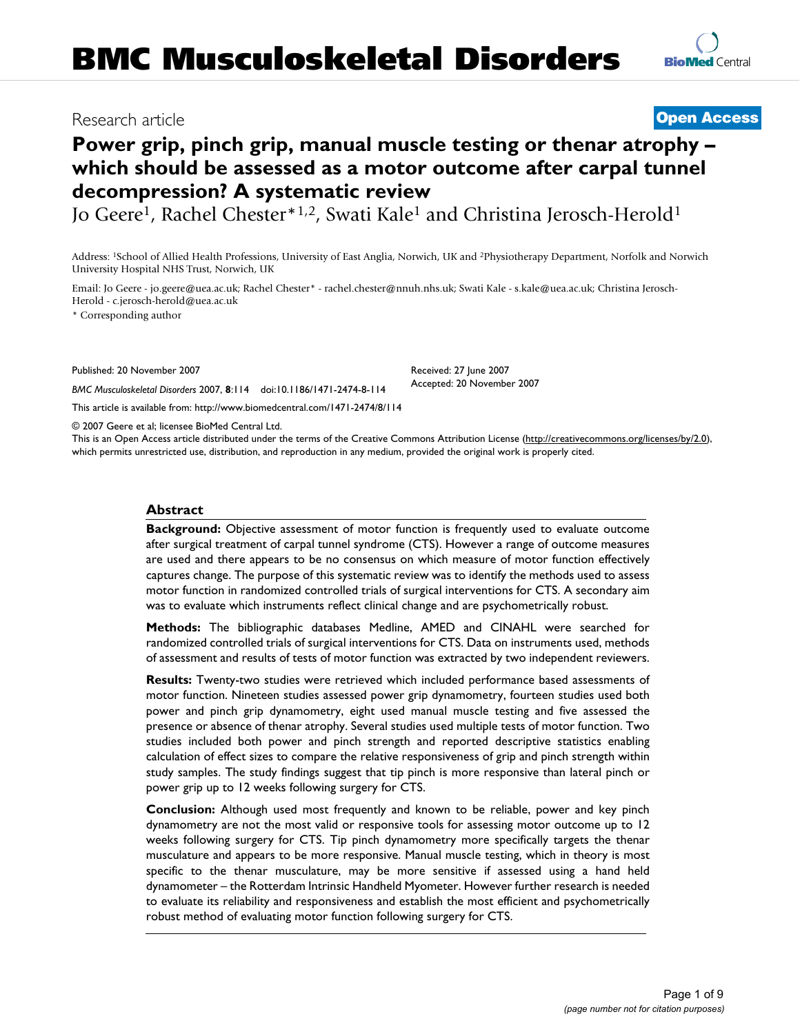## Research article **[Open Access](http://www.biomedcentral.com/info/about/charter/)**

# **Power grip, pinch grip, manual muscle testing or thenar atrophy – which should be assessed as a motor outcome after carpal tunnel decompression? A systematic review**

Jo Geere<sup>1</sup>, Rachel Chester\*<sup>1,2</sup>, Swati Kale<sup>1</sup> and Christina Jerosch-Herold<sup>1</sup>

Address: 1School of Allied Health Professions, University of East Anglia, Norwich, UK and 2Physiotherapy Department, Norfolk and Norwich University Hospital NHS Trust, Norwich, UK

Email: Jo Geere - jo.geere@uea.ac.uk; Rachel Chester\* - rachel.chester@nnuh.nhs.uk; Swati Kale - s.kale@uea.ac.uk; Christina Jerosch-Herold - c.jerosch-herold@uea.ac.uk

\* Corresponding author

Published: 20 November 2007

*BMC Musculoskeletal Disorders* 2007, **8**:114 doi:10.1186/1471-2474-8-114

[This article is available from: http://www.biomedcentral.com/1471-2474/8/114](http://www.biomedcentral.com/1471-2474/8/114)

© 2007 Geere et al; licensee BioMed Central Ltd.

This is an Open Access article distributed under the terms of the Creative Commons Attribution License [\(http://creativecommons.org/licenses/by/2.0\)](http://creativecommons.org/licenses/by/2.0), which permits unrestricted use, distribution, and reproduction in any medium, provided the original work is properly cited.

Received: 27 June 2007 Accepted: 20 November 2007

### **Abstract**

**Background:** Objective assessment of motor function is frequently used to evaluate outcome after surgical treatment of carpal tunnel syndrome (CTS). However a range of outcome measures are used and there appears to be no consensus on which measure of motor function effectively captures change. The purpose of this systematic review was to identify the methods used to assess motor function in randomized controlled trials of surgical interventions for CTS. A secondary aim was to evaluate which instruments reflect clinical change and are psychometrically robust.

**Methods:** The bibliographic databases Medline, AMED and CINAHL were searched for randomized controlled trials of surgical interventions for CTS. Data on instruments used, methods of assessment and results of tests of motor function was extracted by two independent reviewers.

**Results:** Twenty-two studies were retrieved which included performance based assessments of motor function. Nineteen studies assessed power grip dynamometry, fourteen studies used both power and pinch grip dynamometry, eight used manual muscle testing and five assessed the presence or absence of thenar atrophy. Several studies used multiple tests of motor function. Two studies included both power and pinch strength and reported descriptive statistics enabling calculation of effect sizes to compare the relative responsiveness of grip and pinch strength within study samples. The study findings suggest that tip pinch is more responsive than lateral pinch or power grip up to 12 weeks following surgery for CTS.

**Conclusion:** Although used most frequently and known to be reliable, power and key pinch dynamometry are not the most valid or responsive tools for assessing motor outcome up to 12 weeks following surgery for CTS. Tip pinch dynamometry more specifically targets the thenar musculature and appears to be more responsive. Manual muscle testing, which in theory is most specific to the thenar musculature, may be more sensitive if assessed using a hand held dynamometer – the Rotterdam Intrinsic Handheld Myometer. However further research is needed to evaluate its reliability and responsiveness and establish the most efficient and psychometrically robust method of evaluating motor function following surgery for CTS.

**[BioMed](http://www.biomedcentral.com/)** Central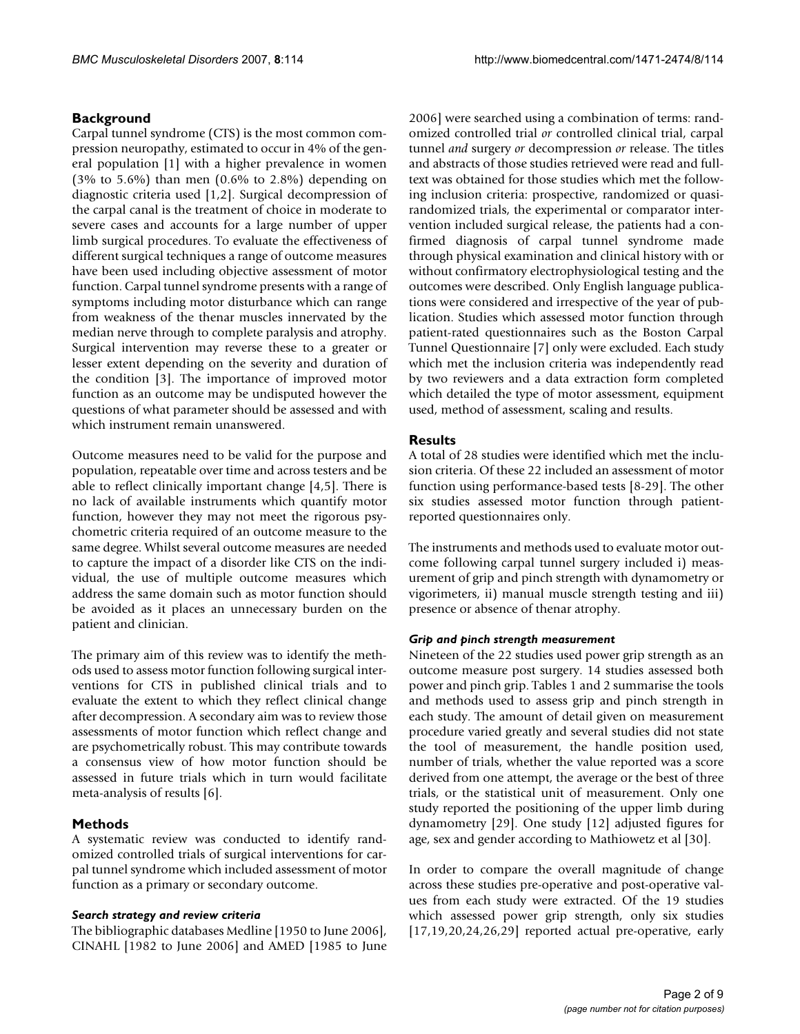## **Background**

Carpal tunnel syndrome (CTS) is the most common compression neuropathy, estimated to occur in 4% of the general population [1] with a higher prevalence in women (3% to 5.6%) than men (0.6% to 2.8%) depending on diagnostic criteria used [1,2]. Surgical decompression of the carpal canal is the treatment of choice in moderate to severe cases and accounts for a large number of upper limb surgical procedures. To evaluate the effectiveness of different surgical techniques a range of outcome measures have been used including objective assessment of motor function. Carpal tunnel syndrome presents with a range of symptoms including motor disturbance which can range from weakness of the thenar muscles innervated by the median nerve through to complete paralysis and atrophy. Surgical intervention may reverse these to a greater or lesser extent depending on the severity and duration of the condition [3]. The importance of improved motor function as an outcome may be undisputed however the questions of what parameter should be assessed and with which instrument remain unanswered.

Outcome measures need to be valid for the purpose and population, repeatable over time and across testers and be able to reflect clinically important change [4,5]. There is no lack of available instruments which quantify motor function, however they may not meet the rigorous psychometric criteria required of an outcome measure to the same degree. Whilst several outcome measures are needed to capture the impact of a disorder like CTS on the individual, the use of multiple outcome measures which address the same domain such as motor function should be avoided as it places an unnecessary burden on the patient and clinician.

The primary aim of this review was to identify the methods used to assess motor function following surgical interventions for CTS in published clinical trials and to evaluate the extent to which they reflect clinical change after decompression. A secondary aim was to review those assessments of motor function which reflect change and are psychometrically robust. This may contribute towards a consensus view of how motor function should be assessed in future trials which in turn would facilitate meta-analysis of results [6].

## **Methods**

A systematic review was conducted to identify randomized controlled trials of surgical interventions for carpal tunnel syndrome which included assessment of motor function as a primary or secondary outcome.

## *Search strategy and review criteria*

The bibliographic databases Medline [1950 to June 2006], CINAHL [1982 to June 2006] and AMED [1985 to June 2006] were searched using a combination of terms: randomized controlled trial *or* controlled clinical trial, carpal tunnel *and* surgery *or* decompression *or* release. The titles and abstracts of those studies retrieved were read and fulltext was obtained for those studies which met the following inclusion criteria: prospective, randomized or quasirandomized trials, the experimental or comparator intervention included surgical release, the patients had a confirmed diagnosis of carpal tunnel syndrome made through physical examination and clinical history with or without confirmatory electrophysiological testing and the outcomes were described. Only English language publications were considered and irrespective of the year of publication. Studies which assessed motor function through patient-rated questionnaires such as the Boston Carpal Tunnel Questionnaire [7] only were excluded. Each study which met the inclusion criteria was independently read by two reviewers and a data extraction form completed which detailed the type of motor assessment, equipment used, method of assessment, scaling and results.

## **Results**

A total of 28 studies were identified which met the inclusion criteria. Of these 22 included an assessment of motor function using performance-based tests [8-29]. The other six studies assessed motor function through patientreported questionnaires only.

The instruments and methods used to evaluate motor outcome following carpal tunnel surgery included i) measurement of grip and pinch strength with dynamometry or vigorimeters, ii) manual muscle strength testing and iii) presence or absence of thenar atrophy.

## *Grip and pinch strength measurement*

Nineteen of the 22 studies used power grip strength as an outcome measure post surgery. 14 studies assessed both power and pinch grip. Tables 1 and 2 summarise the tools and methods used to assess grip and pinch strength in each study. The amount of detail given on measurement procedure varied greatly and several studies did not state the tool of measurement, the handle position used, number of trials, whether the value reported was a score derived from one attempt, the average or the best of three trials, or the statistical unit of measurement. Only one study reported the positioning of the upper limb during dynamometry [29]. One study [12] adjusted figures for age, sex and gender according to Mathiowetz et al [30].

In order to compare the overall magnitude of change across these studies pre-operative and post-operative values from each study were extracted. Of the 19 studies which assessed power grip strength, only six studies [17,19,20,24,26,29] reported actual pre-operative, early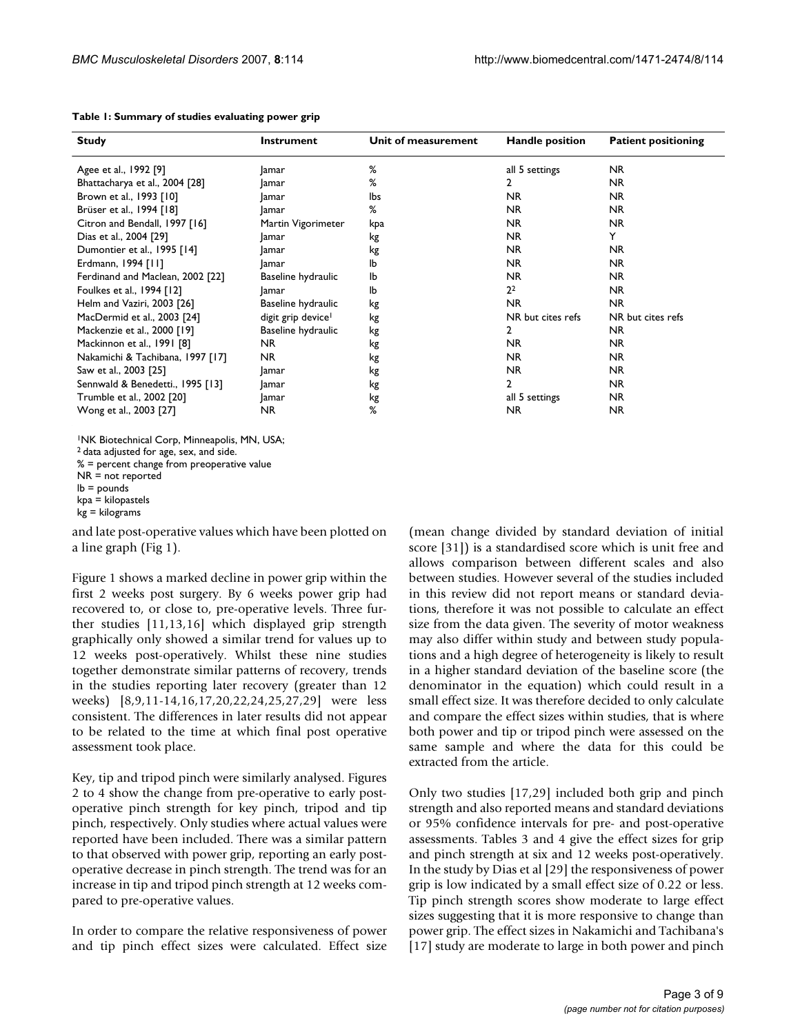| <b>Study</b>                     | <b>Instrument</b>              | Unit of measurement | Handle position   | <b>Patient positioning</b> |
|----------------------------------|--------------------------------|---------------------|-------------------|----------------------------|
| Agee et al., 1992 [9]            | lamar                          | %                   | all 5 settings    | <b>NR</b>                  |
| Bhattacharya et al., 2004 [28]   | Jamar                          | %                   | 2                 | NR.                        |
| Brown et al., 1993 [10]          | lamar                          | lbs                 | <b>NR</b>         | NR.                        |
| Brüser et al., 1994 [18]         | Jamar                          | %                   | NR.               | NR.                        |
| Citron and Bendall, 1997 [16]    | Martin Vigorimeter             | kpa                 | NR.               | NR.                        |
| Dias et al., 2004 [29]           | Jamar                          | kg                  | NR.               | Y                          |
| Dumontier et al., 1995 [14]      | <b>Jamar</b>                   | kg                  | NR.               | NR.                        |
| Erdmann, 1994 [11]               | lamar                          | lb                  | <b>NR</b>         | NR.                        |
| Ferdinand and Maclean, 2002 [22] | Baseline hydraulic             | lb                  | <b>NR</b>         | NR.                        |
| Foulkes et al., 1994 [12]        | Jamar                          | lb                  | 2 <sup>2</sup>    | NR.                        |
| Helm and Vaziri, 2003 [26]       | Baseline hydraulic             | kg                  | <b>NR</b>         | <b>NR</b>                  |
| MacDermid et al., 2003 [24]      | digit grip device <sup>1</sup> | kg                  | NR but cites refs | NR but cites refs          |
| Mackenzie et al., 2000 [19]      | Baseline hydraulic             | kg                  | 2                 | NR.                        |
| Mackinnon et al., 1991 [8]       | NR.                            | kg                  | NR.               | NR.                        |
| Nakamichi & Tachibana, 1997 [17] | NR.                            | kg                  | NR.               | <b>NR</b>                  |
| Saw et al., 2003 [25]            | Jamar                          | kg                  | <b>NR</b>         | NR.                        |
| Sennwald & Benedetti., 1995 [13] | Jamar                          | kg                  | 2                 | NR.                        |
| Trumble et al., 2002 [20]        | Jamar                          | kg                  | all 5 settings    | <b>NR</b>                  |
| Wong et al., 2003 [27]           | NR.                            | %                   | <b>NR</b>         | NR.                        |

**Table 1: Summary of studies evaluating power grip**

1NK Biotechnical Corp, Minneapolis, MN, USA;

2 data adjusted for age, sex, and side.

% = percent change from preoperative value

lb = pounds

and late post-operative values which have been plotted on a line graph (Fig 1).

Figure 1 shows a marked decline in power grip within the first 2 weeks post surgery. By 6 weeks power grip had recovered to, or close to, pre-operative levels. Three further studies [11,13,16] which displayed grip strength graphically only showed a similar trend for values up to 12 weeks post-operatively. Whilst these nine studies together demonstrate similar patterns of recovery, trends in the studies reporting later recovery (greater than 12 weeks) [8,9,11-14,16,17,20,22,24,25,27,29] were less consistent. The differences in later results did not appear to be related to the time at which final post operative assessment took place.

Key, tip and tripod pinch were similarly analysed. Figures 2 to 4 show the change from pre-operative to early postoperative pinch strength for key pinch, tripod and tip pinch, respectively. Only studies where actual values were reported have been included. There was a similar pattern to that observed with power grip, reporting an early postoperative decrease in pinch strength. The trend was for an increase in tip and tripod pinch strength at 12 weeks compared to pre-operative values.

In order to compare the relative responsiveness of power and tip pinch effect sizes were calculated. Effect size (mean change divided by standard deviation of initial score [31]) is a standardised score which is unit free and allows comparison between different scales and also between studies. However several of the studies included in this review did not report means or standard deviations, therefore it was not possible to calculate an effect size from the data given. The severity of motor weakness may also differ within study and between study populations and a high degree of heterogeneity is likely to result in a higher standard deviation of the baseline score (the denominator in the equation) which could result in a small effect size. It was therefore decided to only calculate and compare the effect sizes within studies, that is where both power and tip or tripod pinch were assessed on the same sample and where the data for this could be extracted from the article.

Only two studies [17,29] included both grip and pinch strength and also reported means and standard deviations or 95% confidence intervals for pre- and post-operative assessments. Tables 3 and 4 give the effect sizes for grip and pinch strength at six and 12 weeks post-operatively. In the study by Dias et al [29] the responsiveness of power grip is low indicated by a small effect size of 0.22 or less. Tip pinch strength scores show moderate to large effect sizes suggesting that it is more responsive to change than power grip. The effect sizes in Nakamichi and Tachibana's [17] study are moderate to large in both power and pinch

 $NR = not reported$ 

 $kpa = kilopastels$ kg = kilograms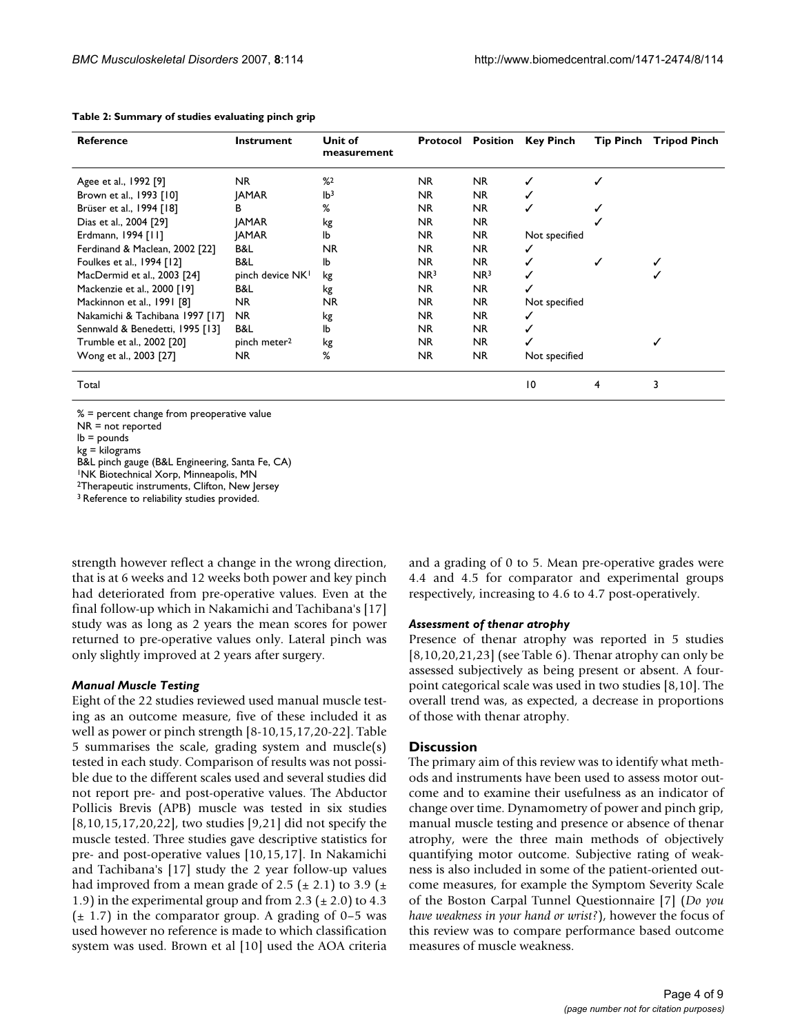| <b>Reference</b>                | Instrument                   | Unit of<br>measurement |                 | <b>Protocol Position</b> | <b>Key Pinch</b> | <b>Tip Pinch</b> | <b>Tripod Pinch</b> |
|---------------------------------|------------------------------|------------------------|-----------------|--------------------------|------------------|------------------|---------------------|
| Agee et al., 1992 [9]           | NR.                          | $\frac{9}{2}$          | NR.             | NR.                      |                  |                  |                     |
| Brown et al., 1993 [10]         | <b>JAMAR</b>                 | 1 <sup>b</sup>         | NR.             | <b>NR</b>                |                  |                  |                     |
| Brüser et al., 1994 [18]        | в                            | ℅                      | NR.             | <b>NR</b>                |                  |                  |                     |
| Dias et al., 2004 [29]          | <b>JAMAR</b>                 | kg                     | NR.             | NR.                      |                  |                  |                     |
| Erdmann, 1994 [11]              | <b>JAMAR</b>                 | lЬ                     | NR.             | <b>NR</b>                | Not specified    |                  |                     |
| Ferdinand & Maclean, 2002 [22]  | B&L                          | NR.                    | NR.             | <b>NR</b>                |                  |                  |                     |
| Foulkes et al., 1994 [12]       | B&L                          | lЬ                     | NR.             | <b>NR</b>                |                  |                  |                     |
| MacDermid et al., 2003 [24]     | pinch device NK <sup>1</sup> | kg                     | NR <sup>3</sup> | NR <sup>3</sup>          |                  |                  |                     |
| Mackenzie et al., 2000 [19]     | B&L                          | kg                     | NR.             | <b>NR</b>                |                  |                  |                     |
| Mackinnon et al., 1991 [8]      | NR.                          | NR.                    | NR.             | NR.                      | Not specified    |                  |                     |
| Nakamichi & Tachibana 1997 [17] | NR.                          | kg                     | NR.             | <b>NR</b>                |                  |                  |                     |
| Sennwald & Benedetti, 1995 [13] | B&L                          | lЬ                     | NR.             | NR.                      |                  |                  |                     |
| Trumble et al., 2002 [20]       | pinch meter <sup>2</sup>     | kg                     | NR.             | NR.                      |                  |                  |                     |
| Wong et al., 2003 [27]          | NR.                          | %                      | NR.             | NR.                      | Not specified    |                  |                     |
| Total                           |                              |                        |                 |                          | $\overline{10}$  | 4                | 3                   |

**Table 2: Summary of studies evaluating pinch grip**

% = percent change from preoperative value

NR = not reported

lb = pounds

kg = kilograms

B&L pinch gauge (B&L Engineering, Santa Fe, CA)

1NK Biotechnical Xorp, Minneapolis, MN

2Therapeutic instruments, Clifton, New Jersey

<sup>3</sup> Reference to reliability studies provided.

strength however reflect a change in the wrong direction, that is at 6 weeks and 12 weeks both power and key pinch had deteriorated from pre-operative values. Even at the final follow-up which in Nakamichi and Tachibana's [17] study was as long as 2 years the mean scores for power returned to pre-operative values only. Lateral pinch was only slightly improved at 2 years after surgery.

#### *Manual Muscle Testing*

Eight of the 22 studies reviewed used manual muscle testing as an outcome measure, five of these included it as well as power or pinch strength [8-10,15,17,20-22]. Table 5 summarises the scale, grading system and muscle(s) tested in each study. Comparison of results was not possible due to the different scales used and several studies did not report pre- and post-operative values. The Abductor Pollicis Brevis (APB) muscle was tested in six studies [8,10,15,17,20,22], two studies [9,21] did not specify the muscle tested. Three studies gave descriptive statistics for pre- and post-operative values [10,15,17]. In Nakamichi and Tachibana's [17] study the 2 year follow-up values had improved from a mean grade of 2.5 ( $\pm$  2.1) to 3.9 ( $\pm$ 1.9) in the experimental group and from 2.3 ( $\pm$  2.0) to 4.3  $(\pm 1.7)$  in the comparator group. A grading of 0–5 was used however no reference is made to which classification system was used. Brown et al [10] used the AOA criteria

and a grading of 0 to 5. Mean pre-operative grades were 4.4 and 4.5 for comparator and experimental groups respectively, increasing to 4.6 to 4.7 post-operatively.

#### *Assessment of thenar atrophy*

Presence of thenar atrophy was reported in 5 studies [8,10,20,21,23] (see Table 6). Thenar atrophy can only be assessed subjectively as being present or absent. A fourpoint categorical scale was used in two studies [8,10]. The overall trend was, as expected, a decrease in proportions of those with thenar atrophy.

#### **Discussion**

The primary aim of this review was to identify what methods and instruments have been used to assess motor outcome and to examine their usefulness as an indicator of change over time. Dynamometry of power and pinch grip, manual muscle testing and presence or absence of thenar atrophy, were the three main methods of objectively quantifying motor outcome. Subjective rating of weakness is also included in some of the patient-oriented outcome measures, for example the Symptom Severity Scale of the Boston Carpal Tunnel Questionnaire [7] (*Do you have weakness in your hand or wrist?*), however the focus of this review was to compare performance based outcome measures of muscle weakness.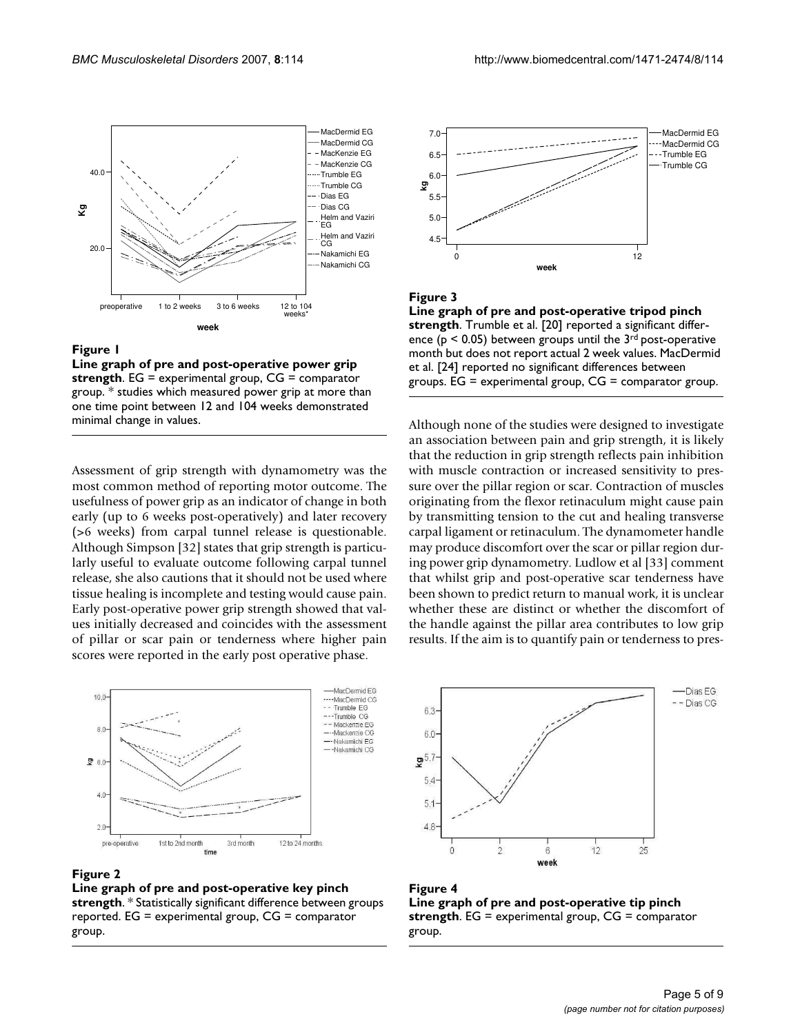

#### Figure 1

**Line graph of pre and post-operative power grip strength**. EG = experimental group, CG = comparator group. \* studies which measured power grip at more than one time point between 12 and 104 weeks demonstrated minimal change in values.

Assessment of grip strength with dynamometry was the most common method of reporting motor outcome. The usefulness of power grip as an indicator of change in both early (up to 6 weeks post-operatively) and later recovery (>6 weeks) from carpal tunnel release is questionable. Although Simpson [32] states that grip strength is particularly useful to evaluate outcome following carpal tunnel release, she also cautions that it should not be used where tissue healing is incomplete and testing would cause pain. Early post-operative power grip strength showed that values initially decreased and coincides with the assessment of pillar or scar pain or tenderness where higher pain scores were reported in the early post operative phase.



#### **Figure 2**

**Line graph of pre and post-operative key pinch strength**. \* Statistically significant difference between groups reported. EG = experimental group, CG = comparator group.



#### Figure 3

**Line graph of pre and post-operative tripod pinch strength**. Trumble et al. [20] reported a significant difference ( $p < 0.05$ ) between groups until the  $3<sup>rd</sup>$  post-operative month but does not report actual 2 week values. MacDermid et al. [24] reported no significant differences between groups.  $EG =$  experimental group,  $CG =$  comparator group.

Although none of the studies were designed to investigate an association between pain and grip strength, it is likely that the reduction in grip strength reflects pain inhibition with muscle contraction or increased sensitivity to pressure over the pillar region or scar. Contraction of muscles originating from the flexor retinaculum might cause pain by transmitting tension to the cut and healing transverse carpal ligament or retinaculum. The dynamometer handle may produce discomfort over the scar or pillar region during power grip dynamometry. Ludlow et al [33] comment that whilst grip and post-operative scar tenderness have been shown to predict return to manual work, it is unclear whether these are distinct or whether the discomfort of the handle against the pillar area contributes to low grip results. If the aim is to quantify pain or tenderness to pres-



**Figure 4 Line graph of pre and post-operative tip pinch strength**. EG = experimental group, CG = comparator group.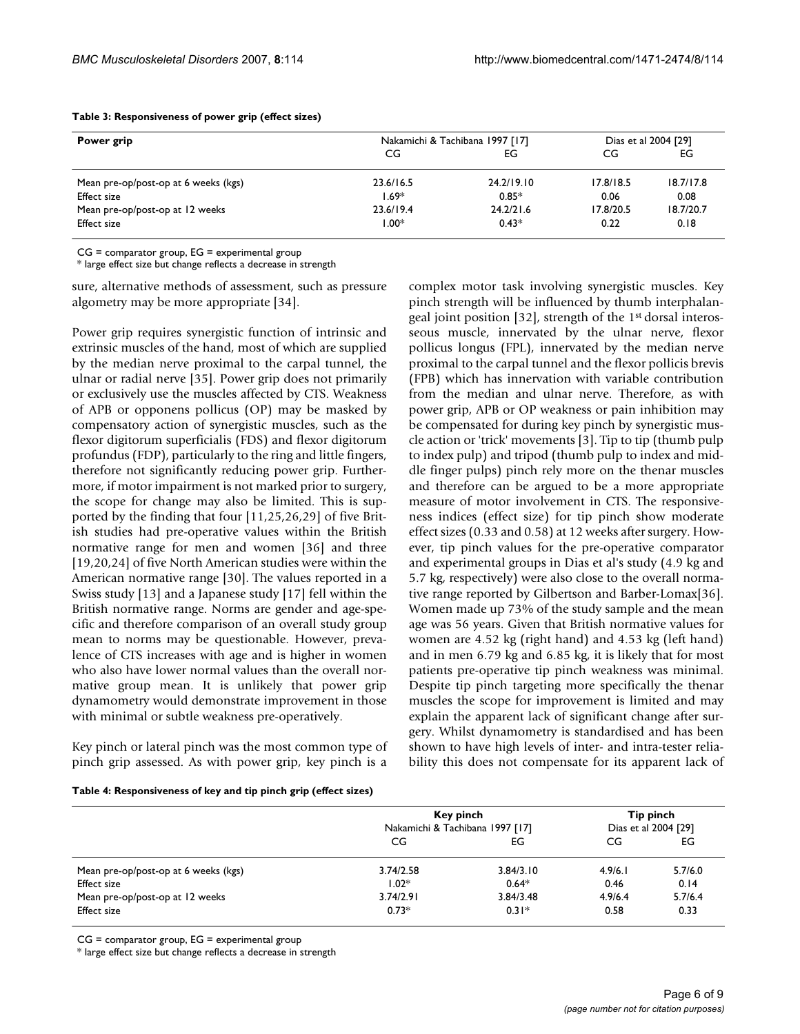| Power grip                           | Nakamichi & Tachibana 1997 [17] | Dias et al 2004 [29] |           |           |
|--------------------------------------|---------------------------------|----------------------|-----------|-----------|
|                                      | CG                              | EG                   | CG        | EG        |
| Mean pre-op/post-op at 6 weeks (kgs) | 23.6/16.5                       | 24.2/19.10           | 17.8/18.5 | 18.7/17.8 |
| <b>Effect size</b>                   | $1.69*$                         | $0.85*$              | 0.06      | 0.08      |
| Mean pre-op/post-op at 12 weeks      | 23.6/19.4                       | 24.2/21.6            | 17.8/20.5 | 18.7/20.7 |
| <b>Effect size</b>                   | $1.00*$                         | $0.43*$              | 0.22      | 0.18      |

#### **Table 3: Responsiveness of power grip (effect sizes)**

CG = comparator group, EG = experimental group

\* large effect size but change reflects a decrease in strength

sure, alternative methods of assessment, such as pressure algometry may be more appropriate [34].

Power grip requires synergistic function of intrinsic and extrinsic muscles of the hand, most of which are supplied by the median nerve proximal to the carpal tunnel, the ulnar or radial nerve [35]. Power grip does not primarily or exclusively use the muscles affected by CTS. Weakness of APB or opponens pollicus (OP) may be masked by compensatory action of synergistic muscles, such as the flexor digitorum superficialis (FDS) and flexor digitorum profundus (FDP), particularly to the ring and little fingers, therefore not significantly reducing power grip. Furthermore, if motor impairment is not marked prior to surgery, the scope for change may also be limited. This is supported by the finding that four [11,25,26,29] of five British studies had pre-operative values within the British normative range for men and women [36] and three [19,20,24] of five North American studies were within the American normative range [30]. The values reported in a Swiss study [13] and a Japanese study [17] fell within the British normative range. Norms are gender and age-specific and therefore comparison of an overall study group mean to norms may be questionable. However, prevalence of CTS increases with age and is higher in women who also have lower normal values than the overall normative group mean. It is unlikely that power grip dynamometry would demonstrate improvement in those with minimal or subtle weakness pre-operatively.

Key pinch or lateral pinch was the most common type of pinch grip assessed. As with power grip, key pinch is a

complex motor task involving synergistic muscles. Key pinch strength will be influenced by thumb interphalangeal joint position [32], strength of the 1st dorsal interosseous muscle, innervated by the ulnar nerve, flexor pollicus longus (FPL), innervated by the median nerve proximal to the carpal tunnel and the flexor pollicis brevis (FPB) which has innervation with variable contribution from the median and ulnar nerve. Therefore, as with power grip, APB or OP weakness or pain inhibition may be compensated for during key pinch by synergistic muscle action or 'trick' movements [3]. Tip to tip (thumb pulp to index pulp) and tripod (thumb pulp to index and middle finger pulps) pinch rely more on the thenar muscles and therefore can be argued to be a more appropriate measure of motor involvement in CTS. The responsiveness indices (effect size) for tip pinch show moderate effect sizes (0.33 and 0.58) at 12 weeks after surgery. However, tip pinch values for the pre-operative comparator and experimental groups in Dias et al's study (4.9 kg and 5.7 kg, respectively) were also close to the overall normative range reported by Gilbertson and Barber-Lomax[36]. Women made up 73% of the study sample and the mean age was 56 years. Given that British normative values for women are 4.52 kg (right hand) and 4.53 kg (left hand) and in men 6.79 kg and 6.85 kg, it is likely that for most patients pre-operative tip pinch weakness was minimal. Despite tip pinch targeting more specifically the thenar muscles the scope for improvement is limited and may explain the apparent lack of significant change after surgery. Whilst dynamometry is standardised and has been shown to have high levels of inter- and intra-tester reliability this does not compensate for its apparent lack of

| Table 4: Responsiveness of key and tip pinch grip (effect sizes) |  |  |  |
|------------------------------------------------------------------|--|--|--|
|                                                                  |  |  |  |

|                                      | Key pinch                       | Tip pinch            |         |         |
|--------------------------------------|---------------------------------|----------------------|---------|---------|
|                                      | Nakamichi & Tachibana 1997 [17] | Dias et al 2004 [29] |         |         |
|                                      | CG                              | EG                   | CG      | EG      |
| Mean pre-op/post-op at 6 weeks (kgs) | 3.74/2.58                       | 3.84/3.10            | 4.9/6.1 | 5.7/6.0 |
| <b>Effect size</b>                   | $1.02*$                         | $0.64*$              | 0.46    | 0.14    |
| Mean pre-op/post-op at 12 weeks      | 3.74/2.91                       | 3.84/3.48            | 4.9/6.4 | 5.7/6.4 |
| <b>Effect size</b>                   | $0.73*$                         | $0.31*$              | 0.58    | 0.33    |

CG = comparator group, EG = experimental group

\* large effect size but change reflects a decrease in strength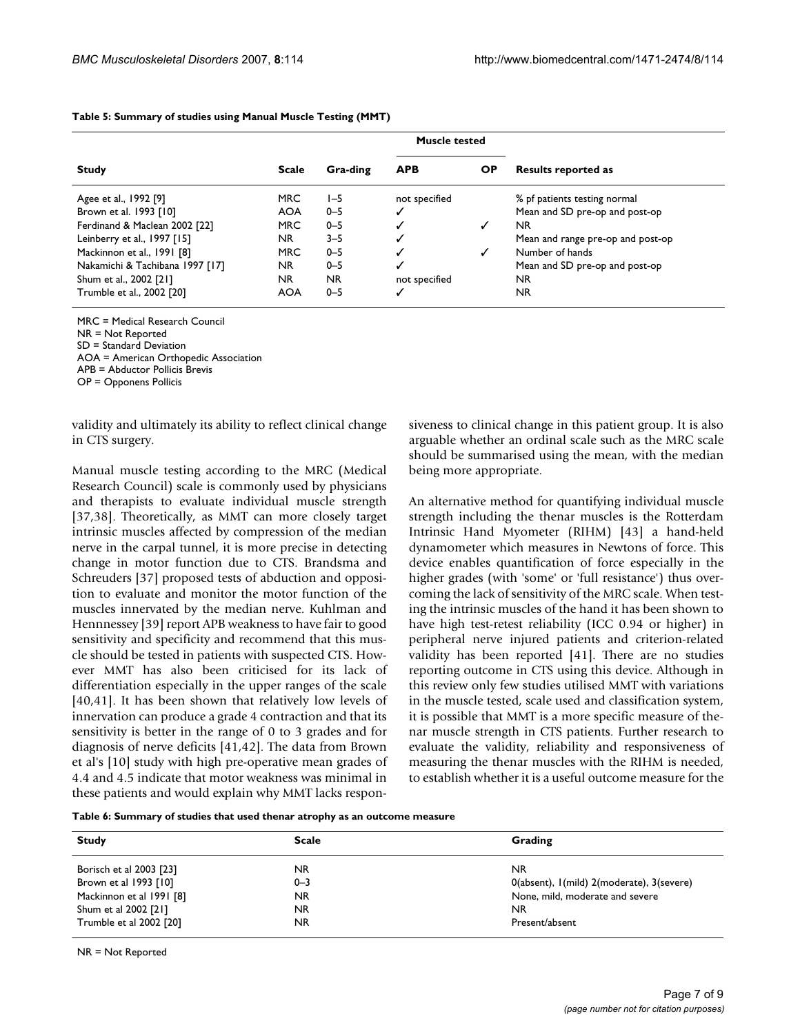|                                 |              |          | <b>Muscle tested</b> |           |                                   |
|---------------------------------|--------------|----------|----------------------|-----------|-----------------------------------|
| <b>Study</b>                    | <b>Scale</b> | Gra-ding | <b>APB</b>           | <b>OP</b> | <b>Results reported as</b>        |
| Agee et al., 1992 [9]           | <b>MRC</b>   | $I - 5$  | not specified        |           | % pf patients testing normal      |
| Brown et al. 1993 [10]          | <b>AOA</b>   | $0 - 5$  |                      |           | Mean and SD pre-op and post-op    |
| Ferdinand & Maclean 2002 [22]   | <b>MRC</b>   | $0 - 5$  |                      |           | NR.                               |
| Leinberry et al., $1997$ $[15]$ | NR.          | $3 - 5$  |                      |           | Mean and range pre-op and post-op |
| Mackinnon et al., 1991 [8]      | <b>MRC</b>   | $0 - 5$  |                      |           | Number of hands                   |
| Nakamichi & Tachibana 1997 [17] | NR           | $0 - 5$  |                      |           | Mean and SD pre-op and post-op    |
| Shum et al., 2002 [21]          | NR.          | NR.      | not specified        |           | NR.                               |
| Trumble et al., 2002 [20]       | <b>AOA</b>   | $0 - 5$  |                      |           | NR.                               |

**Table 5: Summary of studies using Manual Muscle Testing (MMT)**

MRC = Medical Research Council

NR = Not Reported

SD = Standard Deviation

AOA = American Orthopedic Association

APB = Abductor Pollicis Brevis

OP = Opponens Pollicis

validity and ultimately its ability to reflect clinical change in CTS surgery.

Manual muscle testing according to the MRC (Medical Research Council) scale is commonly used by physicians and therapists to evaluate individual muscle strength [37,38]. Theoretically, as MMT can more closely target intrinsic muscles affected by compression of the median nerve in the carpal tunnel, it is more precise in detecting change in motor function due to CTS. Brandsma and Schreuders [37] proposed tests of abduction and opposition to evaluate and monitor the motor function of the muscles innervated by the median nerve. Kuhlman and Hennnessey [39] report APB weakness to have fair to good sensitivity and specificity and recommend that this muscle should be tested in patients with suspected CTS. However MMT has also been criticised for its lack of differentiation especially in the upper ranges of the scale [40,41]. It has been shown that relatively low levels of innervation can produce a grade 4 contraction and that its sensitivity is better in the range of 0 to 3 grades and for diagnosis of nerve deficits [41,42]. The data from Brown et al's [10] study with high pre-operative mean grades of 4.4 and 4.5 indicate that motor weakness was minimal in these patients and would explain why MMT lacks responsiveness to clinical change in this patient group. It is also arguable whether an ordinal scale such as the MRC scale should be summarised using the mean, with the median being more appropriate.

An alternative method for quantifying individual muscle strength including the thenar muscles is the Rotterdam Intrinsic Hand Myometer (RIHM) [43] a hand-held dynamometer which measures in Newtons of force. This device enables quantification of force especially in the higher grades (with 'some' or 'full resistance') thus overcoming the lack of sensitivity of the MRC scale. When testing the intrinsic muscles of the hand it has been shown to have high test-retest reliability (ICC 0.94 or higher) in peripheral nerve injured patients and criterion-related validity has been reported [41]. There are no studies reporting outcome in CTS using this device. Although in this review only few studies utilised MMT with variations in the muscle tested, scale used and classification system, it is possible that MMT is a more specific measure of thenar muscle strength in CTS patients. Further research to evaluate the validity, reliability and responsiveness of measuring the thenar muscles with the RIHM is needed, to establish whether it is a useful outcome measure for the

**Table 6: Summary of studies that used thenar atrophy as an outcome measure**

| <b>Study</b>             | <b>Scale</b> | Grading                                   |
|--------------------------|--------------|-------------------------------------------|
| Borisch et al 2003 [23]  | NR.          | NR.                                       |
| Brown et al 1993 [10]    | $0 - 3$      | 0(absent), 1(mild) 2(moderate), 3(severe) |
| Mackinnon et al 1991 [8] | NR.          | None, mild, moderate and severe           |
| Shum et al 2002 [21]     | NR.          | NR.                                       |
| Trumble et al 2002 [20]  | NR.          | Present/absent                            |

NR = Not Reported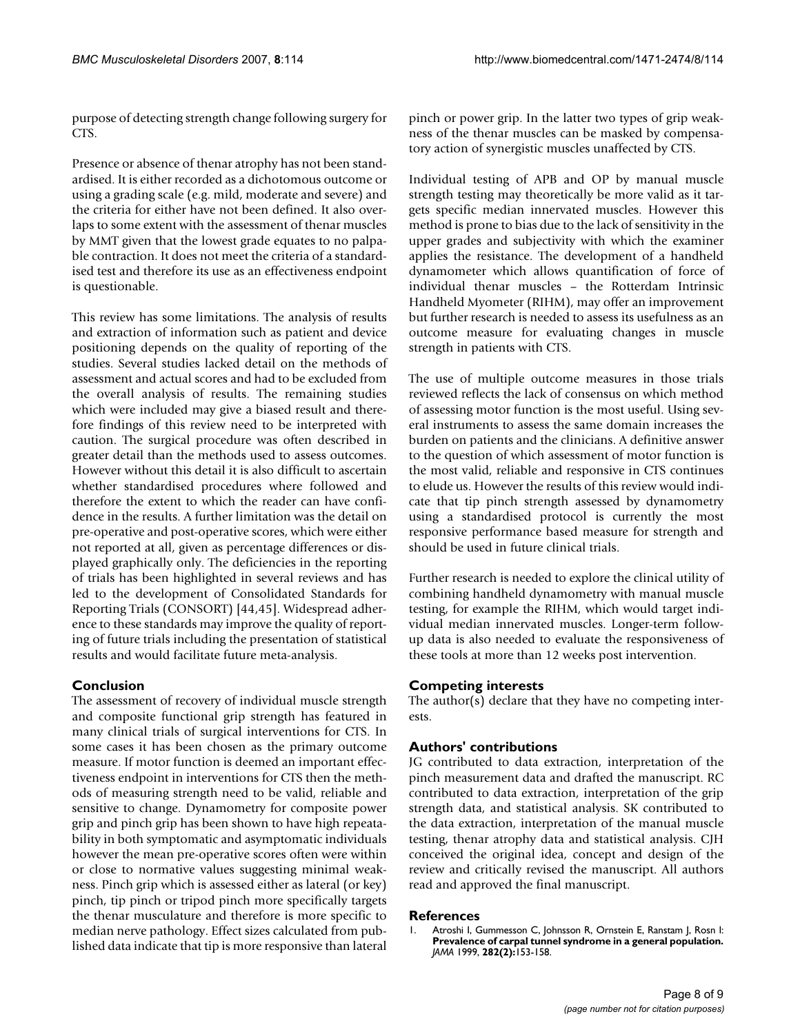purpose of detecting strength change following surgery for CTS.

Presence or absence of thenar atrophy has not been standardised. It is either recorded as a dichotomous outcome or using a grading scale (e.g. mild, moderate and severe) and the criteria for either have not been defined. It also overlaps to some extent with the assessment of thenar muscles by MMT given that the lowest grade equates to no palpable contraction. It does not meet the criteria of a standardised test and therefore its use as an effectiveness endpoint is questionable.

This review has some limitations. The analysis of results and extraction of information such as patient and device positioning depends on the quality of reporting of the studies. Several studies lacked detail on the methods of assessment and actual scores and had to be excluded from the overall analysis of results. The remaining studies which were included may give a biased result and therefore findings of this review need to be interpreted with caution. The surgical procedure was often described in greater detail than the methods used to assess outcomes. However without this detail it is also difficult to ascertain whether standardised procedures where followed and therefore the extent to which the reader can have confidence in the results. A further limitation was the detail on pre-operative and post-operative scores, which were either not reported at all, given as percentage differences or displayed graphically only. The deficiencies in the reporting of trials has been highlighted in several reviews and has led to the development of Consolidated Standards for Reporting Trials (CONSORT) [44,45]. Widespread adherence to these standards may improve the quality of reporting of future trials including the presentation of statistical results and would facilitate future meta-analysis.

## **Conclusion**

The assessment of recovery of individual muscle strength and composite functional grip strength has featured in many clinical trials of surgical interventions for CTS. In some cases it has been chosen as the primary outcome measure. If motor function is deemed an important effectiveness endpoint in interventions for CTS then the methods of measuring strength need to be valid, reliable and sensitive to change. Dynamometry for composite power grip and pinch grip has been shown to have high repeatability in both symptomatic and asymptomatic individuals however the mean pre-operative scores often were within or close to normative values suggesting minimal weakness. Pinch grip which is assessed either as lateral (or key) pinch, tip pinch or tripod pinch more specifically targets the thenar musculature and therefore is more specific to median nerve pathology. Effect sizes calculated from published data indicate that tip is more responsive than lateral

pinch or power grip. In the latter two types of grip weakness of the thenar muscles can be masked by compensatory action of synergistic muscles unaffected by CTS.

Individual testing of APB and OP by manual muscle strength testing may theoretically be more valid as it targets specific median innervated muscles. However this method is prone to bias due to the lack of sensitivity in the upper grades and subjectivity with which the examiner applies the resistance. The development of a handheld dynamometer which allows quantification of force of individual thenar muscles – the Rotterdam Intrinsic Handheld Myometer (RIHM), may offer an improvement but further research is needed to assess its usefulness as an outcome measure for evaluating changes in muscle strength in patients with CTS.

The use of multiple outcome measures in those trials reviewed reflects the lack of consensus on which method of assessing motor function is the most useful. Using several instruments to assess the same domain increases the burden on patients and the clinicians. A definitive answer to the question of which assessment of motor function is the most valid, reliable and responsive in CTS continues to elude us. However the results of this review would indicate that tip pinch strength assessed by dynamometry using a standardised protocol is currently the most responsive performance based measure for strength and should be used in future clinical trials.

Further research is needed to explore the clinical utility of combining handheld dynamometry with manual muscle testing, for example the RIHM, which would target individual median innervated muscles. Longer-term followup data is also needed to evaluate the responsiveness of these tools at more than 12 weeks post intervention.

## **Competing interests**

The author(s) declare that they have no competing interests.

## **Authors' contributions**

JG contributed to data extraction, interpretation of the pinch measurement data and drafted the manuscript. RC contributed to data extraction, interpretation of the grip strength data, and statistical analysis. SK contributed to the data extraction, interpretation of the manual muscle testing, thenar atrophy data and statistical analysis. CJH conceived the original idea, concept and design of the review and critically revised the manuscript. All authors read and approved the final manuscript.

## **References**

1. Atroshi I, Gummesson C, Johnsson R, Ornstein E, Ranstam J, Rosn I: **[Prevalence of carpal tunnel syndrome in a general population.](http://www.ncbi.nlm.nih.gov/entrez/query.fcgi?cmd=Retrieve&db=PubMed&dopt=Abstract&list_uids=10411196)** *JAMA* 1999, **282(2):**153-158.